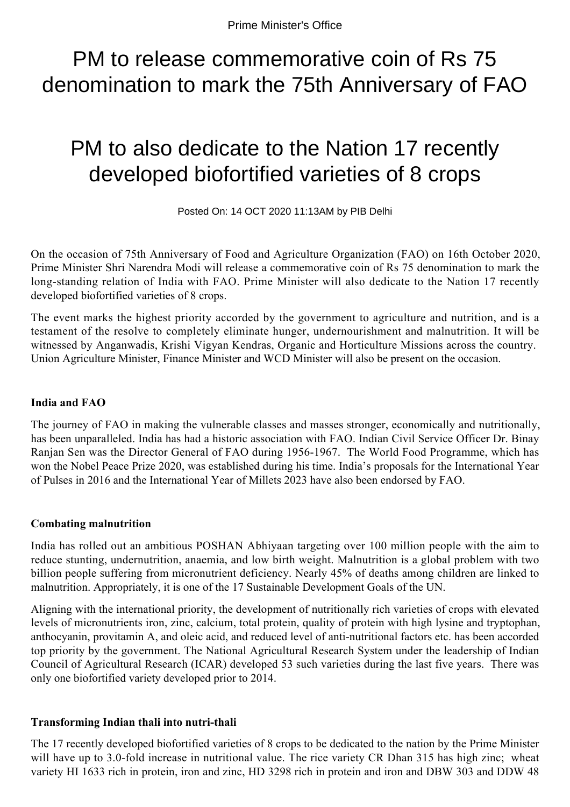# PM to release commemorative coin of Rs 75 denomination to mark the 75th Anniversary of FAO

# PM to also dedicate to the Nation 17 recently developed biofortified varieties of 8 crops

Posted On: 14 OCT 2020 11:13AM by PIB Delhi

On the occasion of 75th Anniversary of Food and Agriculture Organization (FAO) on 16th October 2020, Prime Minister Shri Narendra Modi will release a commemorative coin of Rs 75 denomination to mark the long-standing relation of India with FAO. Prime Minister will also dedicate to the Nation 17 recently developed biofortified varieties of 8 crops.

The event marks the highest priority accorded by the government to agriculture and nutrition, and is a testament of the resolve to completely eliminate hunger, undernourishment and malnutrition. It will be witnessed by Anganwadis, Krishi Vigyan Kendras, Organic and Horticulture Missions across the country. Union Agriculture Minister, Finance Minister and WCD Minister will also be present on the occasion.

## **India and FAO**

The journey of FAO in making the vulnerable classes and masses stronger, economically and nutritionally, has been unparalleled. India has had a historic association with FAO. Indian Civil Service Officer Dr. Binay Ranjan Sen was the Director General of FAO during 1956-1967. The World Food Programme, which has won the Nobel Peace Prize 2020, was established during his time. India's proposals for the International Year of Pulses in 2016 and the International Year of Millets 2023 have also been endorsed by FAO.

### **Combating malnutrition**

India has rolled out an ambitious POSHAN Abhiyaan targeting over 100 million people with the aim to reduce stunting, undernutrition, anaemia, and low birth weight. Malnutrition is a global problem with two billion people suffering from micronutrient deficiency. Nearly 45% of deaths among children are linked to malnutrition. Appropriately, it is one of the 17 Sustainable Development Goals of the UN.

Aligning with the international priority, the development of nutritionally rich varieties of crops with elevated levels of micronutrients iron, zinc, calcium, total protein, quality of protein with high lysine and tryptophan, anthocyanin, provitamin A, and oleic acid, and reduced level of anti-nutritional factors etc. has been accorded top priority by the government. The National Agricultural Research System under the leadership of Indian Council of Agricultural Research (ICAR) developed 53 such varieties during the last five years. There was only one biofortified variety developed prior to 2014.

### **Transforming Indian thali into nutri-thali**

The 17 recently developed biofortified varieties of 8 crops to be dedicated to the nation by the Prime Minister will have up to 3.0-fold increase in nutritional value. The rice variety CR Dhan 315 has high zinc; wheat variety HI 1633 rich in protein, iron and zinc, HD 3298 rich in protein and iron and DBW 303 and DDW 48